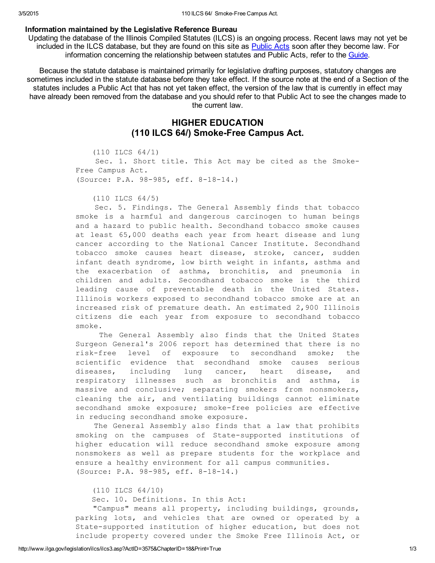## Information maintained by the Legislative Reference Bureau

Updating the database of the Illinois Compiled Statutes (ILCS) is an ongoing process. Recent laws may not yet be included in the ILCS database, but they are found on this site as [Public](http://www.ilga.gov/legislation/publicacts/default.asp) Acts soon after they become law. For information concerning the relationship between statutes and Public Acts, refer to the [Guide.](http://www.ilga.gov/legislation/ilcs/using.asp)

Because the statute database is maintained primarily for legislative drafting purposes, statutory changes are sometimes included in the statute database before they take effect. If the source note at the end of a Section of the statutes includes a Public Act that has not yet taken effect, the version of the law that is currently in effect may have already been removed from the database and you should refer to that Public Act to see the changes made to the current law.

## HIGHER EDUCATION (110 ILCS 64/) Smoke-Free Campus Act.

(110 ILCS 64/1) Sec. 1. Short title. This Act may be cited as the Smoke-Free Campus Act. (Source: P.A. 98-985, eff. 8-18-14.)

(110 ILCS 64/5)

Sec. 5. Findings. The General Assembly finds that tobacco smoke is a harmful and dangerous carcinogen to human beings and a hazard to public health. Secondhand tobacco smoke causes at least 65,000 deaths each year from heart disease and lung cancer according to the National Cancer Institute. Secondhand tobacco smoke causes heart disease, stroke, cancer, sudden infant death syndrome, low birth weight in infants, asthma and the exacerbation of asthma, bronchitis, and pneumonia in children and adults. Secondhand tobacco smoke is the third leading cause of preventable death in the United States. Illinois workers exposed to secondhand tobacco smoke are at an increased risk of premature death. An estimated 2,900 Illinois citizens die each year from exposure to secondhand tobacco smoke.

The General Assembly also finds that the United States Surgeon General's 2006 report has determined that there is no risk-free level of exposure to secondhand smoke; the scientific evidence that secondhand smoke causes serious diseases, including lung cancer, heart disease, and respiratory illnesses such as bronchitis and asthma, is massive and conclusive; separating smokers from nonsmokers, cleaning the air, and ventilating buildings cannot eliminate secondhand smoke exposure; smoke-free policies are effective in reducing secondhand smoke exposure.

The General Assembly also finds that a law that prohibits smoking on the campuses of State-supported institutions of higher education will reduce secondhand smoke exposure among nonsmokers as well as prepare students for the workplace and ensure a healthy environment for all campus communities. (Source: P.A. 98-985, eff. 8-18-14.)

(110 ILCS 64/10)

Sec. 10. Definitions. In this Act:

"Campus" means all property, including buildings, grounds, parking lots, and vehicles that are owned or operated by a State-supported institution of higher education, but does not include property covered under the Smoke Free Illinois Act, or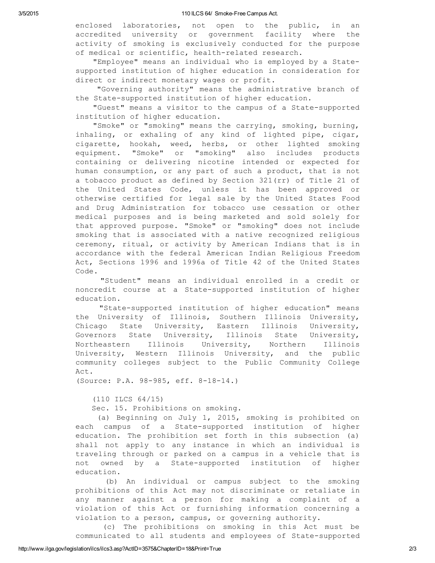enclosed laboratories, not open to the public, in an accredited university or government facility where the activity of smoking is exclusively conducted for the purpose of medical or scientific, health-related research.

"Employee" means an individual who is employed by a Statesupported institution of higher education in consideration for direct or indirect monetary wages or profit.

"Governing authority" means the administrative branch of the State-supported institution of higher education.

"Guest" means a visitor to the campus of a State-supported institution of higher education.

"Smoke" or "smoking" means the carrying, smoking, burning, inhaling, or exhaling of any kind of lighted pipe, cigar, cigarette, hookah, weed, herbs, or other lighted smoking equipment. "Smoke" or "smoking" also includes products containing or delivering nicotine intended or expected for human consumption, or any part of such a product, that is not a tobacco product as defined by Section 321(rr) of Title 21 of the United States Code, unless it has been approved or otherwise certified for legal sale by the United States Food and Drug Administration for tobacco use cessation or other medical purposes and is being marketed and sold solely for that approved purpose. "Smoke" or "smoking" does not include smoking that is associated with a native recognized religious ceremony, ritual, or activity by American Indians that is in accordance with the federal American Indian Religious Freedom Act, Sections 1996 and 1996a of Title 42 of the United States Code.

"Student" means an individual enrolled in a credit or noncredit course at a State-supported institution of higher education.

"State-supported institution of higher education" means the University of Illinois, Southern Illinois University, Chicago State University, Eastern Illinois University, Governors State University, Illinois State University, Northeastern Illinois University, Northern Illinois University, Western Illinois University, and the public community colleges subject to the Public Community College Act.

(Source: P.A. 98-985, eff. 8-18-14.)

(110 ILCS 64/15)

Sec. 15. Prohibitions on smoking.

(a) Beginning on July 1, 2015, smoking is prohibited on each campus of a State-supported institution of higher education. The prohibition set forth in this subsection (a) shall not apply to any instance in which an individual is traveling through or parked on a campus in a vehicle that is not owned by a State-supported institution of higher education.

(b) An individual or campus subject to the smoking prohibitions of this Act may not discriminate or retaliate in any manner against a person for making a complaint of a violation of this Act or furnishing information concerning a violation to a person, campus, or governing authority.

(c) The prohibitions on smoking in this Act must be communicated to all students and employees of State-supported